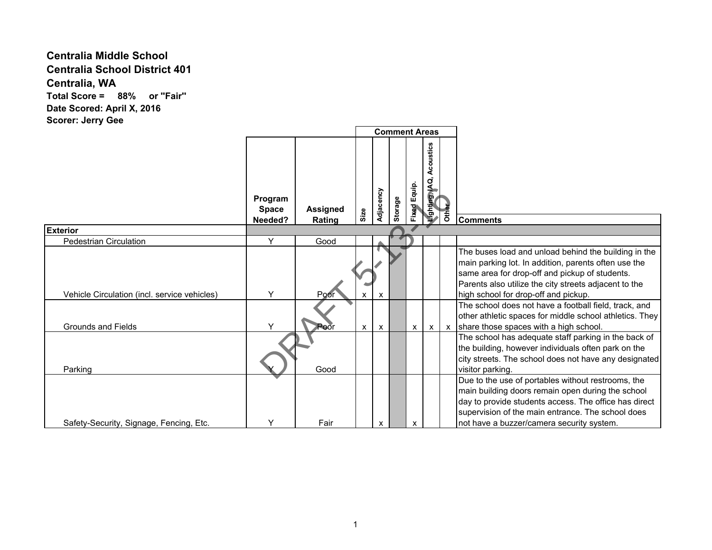## **Centralia Middle School Centralia School District 401 Centralia, WA Total Score = 88% or ''Fair'' Date Scored: April X, 2016**

**Scorer: Jerry Gee**

|                                              |                                    |                           |              |              | <b>Comment Areas</b> |                 |                                       |       |                                                                                                                                                                                                                                                                    |
|----------------------------------------------|------------------------------------|---------------------------|--------------|--------------|----------------------|-----------------|---------------------------------------|-------|--------------------------------------------------------------------------------------------------------------------------------------------------------------------------------------------------------------------------------------------------------------------|
|                                              | Program<br><b>Space</b><br>Needed? | <b>Assigned</b><br>Rating | Size         | Adjacency    | Storage              | Equip.<br>Fixed | stics<br>₫<br>σ<br><b>Aghting, IA</b> | Other | <b>Comments</b>                                                                                                                                                                                                                                                    |
| <b>Exterior</b>                              |                                    |                           |              |              |                      |                 |                                       |       |                                                                                                                                                                                                                                                                    |
| <b>Pedestrian Circulation</b>                | Y                                  | Good                      |              |              |                      |                 |                                       |       |                                                                                                                                                                                                                                                                    |
| Vehicle Circulation (incl. service vehicles) | Υ                                  | Poor                      |              | X            |                      |                 |                                       |       | The buses load and unload behind the building in the<br>main parking lot. In addition, parents often use the<br>same area for drop-off and pickup of students.<br>Parents also utilize the city streets adjacent to the<br>high school for drop-off and pickup.    |
| <b>Grounds and Fields</b>                    | Υ                                  | <b>Poor</b>               | $\mathsf{x}$ | $\mathsf{x}$ |                      | $\mathsf{X}$    |                                       |       | The school does not have a football field, track, and<br>other athletic spaces for middle school athletics. They<br>$x \mid x$ share those spaces with a high school.                                                                                              |
| Parking                                      |                                    | Good                      |              |              |                      |                 |                                       |       | The school has adequate staff parking in the back of<br>the building, however individuals often park on the<br>city streets. The school does not have any designated<br>visitor parking.                                                                           |
| Safety-Security, Signage, Fencing, Etc.      | Υ                                  | Fair                      |              | x            |                      | x               |                                       |       | Due to the use of portables without restrooms, the<br>main building doors remain open during the school<br>day to provide students access. The office has direct<br>supervision of the main entrance. The school does<br>not have a buzzer/camera security system. |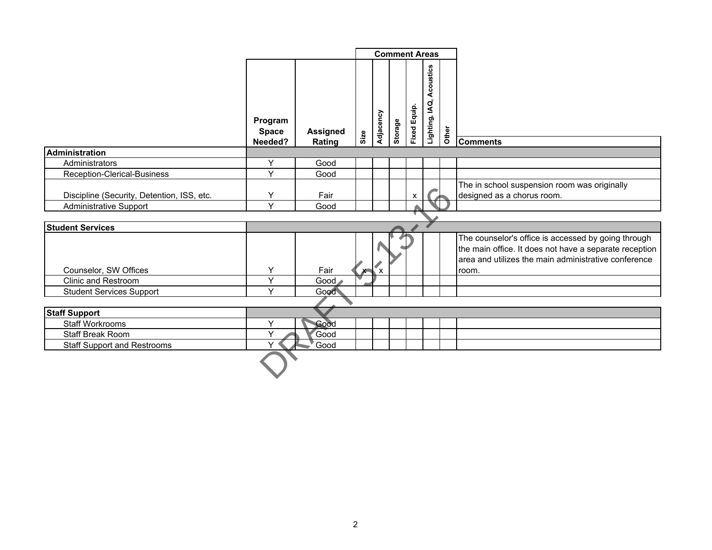|                                            |                                    |                           | <b>Comment Areas</b> |           |         |                     |                             |       |                                                                                                                                                                                |
|--------------------------------------------|------------------------------------|---------------------------|----------------------|-----------|---------|---------------------|-----------------------------|-------|--------------------------------------------------------------------------------------------------------------------------------------------------------------------------------|
|                                            | Program<br><b>Space</b><br>Needed? | <b>Assigned</b><br>Rating | Size                 | Adjacency | Storage | <b>Fixed Equip.</b> | Acoustics<br>Lighting, IAQ, | Other | <b>Comments</b>                                                                                                                                                                |
| <b>Administration</b>                      |                                    |                           |                      |           |         |                     |                             |       |                                                                                                                                                                                |
| Administrators                             | Y                                  | Good                      |                      |           |         |                     |                             |       |                                                                                                                                                                                |
| <b>Reception-Clerical-Business</b>         | $\vee$                             | Good                      |                      |           |         |                     |                             |       |                                                                                                                                                                                |
| Discipline (Security, Detention, ISS, etc. | Y                                  | Fair                      |                      |           |         | X                   |                             |       | The in school suspension room was originally<br>designed as a chorus room.                                                                                                     |
| <b>Administrative Support</b>              | $\vee$                             | Good                      |                      |           |         |                     |                             |       |                                                                                                                                                                                |
|                                            |                                    |                           |                      |           |         |                     |                             |       |                                                                                                                                                                                |
| <b>Student Services</b>                    |                                    |                           |                      |           |         |                     |                             |       |                                                                                                                                                                                |
| Counselor, SW Offices                      | Y                                  | Fair                      |                      | $x + x$   |         |                     |                             |       | The counselor's office is accessed by going through<br>the main office. It does not have a separate reception<br>area and utilizes the main administrative conference<br>room. |
| Clinic and Restroom                        | Y                                  | Good                      |                      |           |         |                     |                             |       |                                                                                                                                                                                |
| <b>Student Services Support</b>            | $\checkmark$                       | Good                      |                      |           |         |                     |                             |       |                                                                                                                                                                                |
|                                            |                                    |                           |                      |           |         |                     |                             |       |                                                                                                                                                                                |
| <b>Staff Support</b>                       |                                    |                           |                      |           |         |                     |                             |       |                                                                                                                                                                                |
| Staff Workrooms                            | Υ                                  | Good                      |                      |           |         |                     |                             |       |                                                                                                                                                                                |
| Staff Break Room                           | $\checkmark$                       | Good                      |                      |           |         |                     |                             |       |                                                                                                                                                                                |
| <b>Staff Support and Restrooms</b>         |                                    | Good                      |                      |           |         |                     |                             |       |                                                                                                                                                                                |
|                                            |                                    |                           |                      |           |         |                     |                             |       |                                                                                                                                                                                |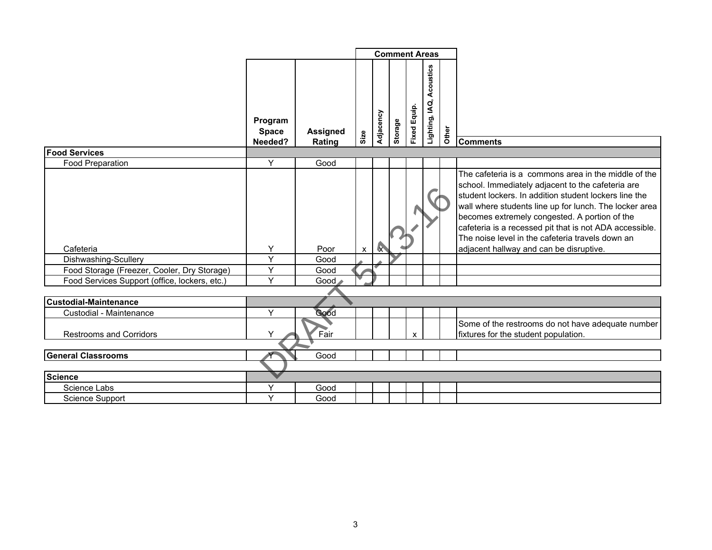|                                                           |                                    |                           |                           |           |         |                        | <b>Comment Areas</b>        |       |                                                                                                                                                                                                                                                                                                                                                                                                                                         |
|-----------------------------------------------------------|------------------------------------|---------------------------|---------------------------|-----------|---------|------------------------|-----------------------------|-------|-----------------------------------------------------------------------------------------------------------------------------------------------------------------------------------------------------------------------------------------------------------------------------------------------------------------------------------------------------------------------------------------------------------------------------------------|
|                                                           | Program<br><b>Space</b><br>Needed? | <b>Assigned</b><br>Rating | Size                      | Adjacency | Storage | Equip.<br><b>Fixed</b> | Acoustics<br>Lighting, IAQ, | Other | <b>Comments</b>                                                                                                                                                                                                                                                                                                                                                                                                                         |
| <b>Food Services</b>                                      |                                    |                           |                           |           |         |                        |                             |       |                                                                                                                                                                                                                                                                                                                                                                                                                                         |
| <b>Food Preparation</b>                                   | Y                                  | Good                      |                           |           |         |                        |                             |       |                                                                                                                                                                                                                                                                                                                                                                                                                                         |
| Cafeteria<br>Dishwashing-Scullery                         | Y<br>Y                             | Poor<br>Good              | $\boldsymbol{\mathsf{x}}$ |           |         |                        |                             |       | The cafeteria is a commons area in the middle of the<br>school. Immediately adjacent to the cafeteria are<br>student lockers. In addition student lockers line the<br>wall where students line up for lunch. The locker area<br>becomes extremely congested. A portion of the<br>cafeteria is a recessed pit that is not ADA accessible.<br>The noise level in the cafeteria travels down an<br>adjacent hallway and can be disruptive. |
| Food Storage (Freezer, Cooler, Dry Storage)               | $\overline{Y}$                     | Good                      |                           |           |         |                        |                             |       |                                                                                                                                                                                                                                                                                                                                                                                                                                         |
| Food Services Support (office, lockers, etc.)             | Y                                  | Good                      |                           |           |         |                        |                             |       |                                                                                                                                                                                                                                                                                                                                                                                                                                         |
|                                                           |                                    |                           |                           |           |         |                        |                             |       |                                                                                                                                                                                                                                                                                                                                                                                                                                         |
| <b>Custodial-Maintenance</b>                              |                                    |                           |                           |           |         |                        |                             |       |                                                                                                                                                                                                                                                                                                                                                                                                                                         |
| Custodial - Maintenance<br><b>Restrooms and Corridors</b> | Y<br>Υ                             | Good<br>Fair              |                           |           |         |                        |                             |       | Some of the restrooms do not have adequate number<br>fixtures for the student population.                                                                                                                                                                                                                                                                                                                                               |
| <b>General Classrooms</b>                                 |                                    | Good                      |                           |           |         |                        |                             |       |                                                                                                                                                                                                                                                                                                                                                                                                                                         |
|                                                           |                                    |                           |                           |           |         |                        |                             |       |                                                                                                                                                                                                                                                                                                                                                                                                                                         |
| <b>Science</b>                                            |                                    |                           |                           |           |         |                        |                             |       |                                                                                                                                                                                                                                                                                                                                                                                                                                         |
| Science Labs                                              | Y                                  | Good                      |                           |           |         |                        |                             |       |                                                                                                                                                                                                                                                                                                                                                                                                                                         |
| Science Support                                           | Y                                  | Good                      |                           |           |         |                        |                             |       |                                                                                                                                                                                                                                                                                                                                                                                                                                         |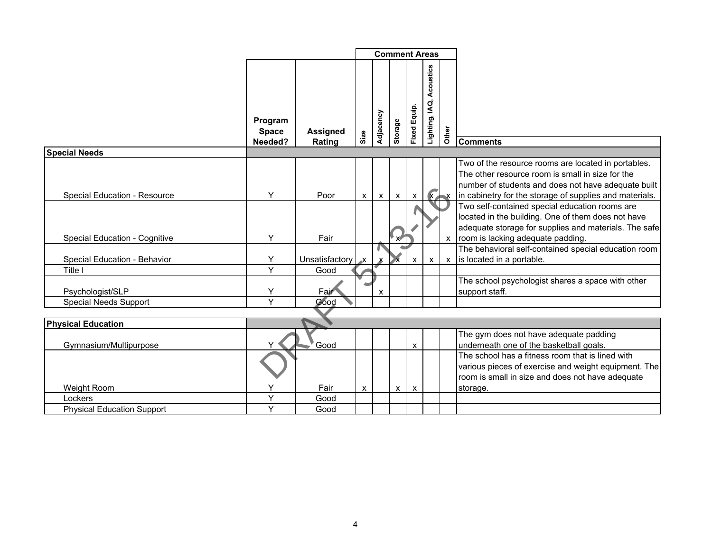|                                      |                                    |                           |              |              | <b>Comment Areas</b> |                           |                             |         |                                                                                                                                                                                                                           |
|--------------------------------------|------------------------------------|---------------------------|--------------|--------------|----------------------|---------------------------|-----------------------------|---------|---------------------------------------------------------------------------------------------------------------------------------------------------------------------------------------------------------------------------|
|                                      | Program<br><b>Space</b><br>Needed? | <b>Assigned</b><br>Rating | Size         | Adjacency    | Storage              | Fixed Equip.              | Acoustics<br>Lighting, IAQ, | Other   | <b>Comments</b>                                                                                                                                                                                                           |
| <b>Special Needs</b>                 |                                    |                           |              |              |                      |                           |                             |         |                                                                                                                                                                                                                           |
| <b>Special Education - Resource</b>  | Y                                  | Poor                      | $\mathsf{x}$ | $\mathsf{x}$ | $\mathsf{x}$         | $\mathsf{x}$              |                             | $X$ $X$ | Two of the resource rooms are located in portables.<br>The other resource room is small in size for the<br>number of students and does not have adequate built<br>in cabinetry for the storage of supplies and materials. |
| <b>Special Education - Cognitive</b> | Y                                  | Fair                      |              |              |                      |                           |                             |         | Two self-contained special education rooms are<br>located in the building. One of them does not have<br>adequate storage for supplies and materials. The safe<br>x room is lacking adequate padding.                      |
|                                      |                                    |                           |              |              |                      |                           |                             |         | The behavioral self-contained special education room                                                                                                                                                                      |
| Special Education - Behavior         | Y                                  | Unsatisfactory            |              |              |                      | $\mathsf{x}$              | $\mathsf{x}$                |         | x is located in a portable.                                                                                                                                                                                               |
| Title I                              | Y                                  | Good                      |              |              |                      |                           |                             |         |                                                                                                                                                                                                                           |
| Psychologist/SLP                     | Υ<br>Y                             | Fair<br>Good              |              | X            |                      |                           |                             |         | The school psychologist shares a space with other<br>support staff.                                                                                                                                                       |
| <b>Special Needs Support</b>         |                                    |                           |              |              |                      |                           |                             |         |                                                                                                                                                                                                                           |
| <b>Physical Education</b>            |                                    |                           |              |              |                      |                           |                             |         |                                                                                                                                                                                                                           |
| Gymnasium/Multipurpose               |                                    | Good                      |              |              |                      | X                         |                             |         | The gym does not have adequate padding<br>underneath one of the basketball goals.                                                                                                                                         |
|                                      |                                    |                           |              |              |                      |                           |                             |         | The school has a fitness room that is lined with<br>various pieces of exercise and weight equipment. The<br>room is small in size and does not have adequate                                                              |
| Weight Room                          | Y                                  | Fair                      | X            |              | $\mathsf{x}$         | $\boldsymbol{\mathsf{x}}$ |                             |         | storage.                                                                                                                                                                                                                  |
| Lockers                              |                                    | Good                      |              |              |                      |                           |                             |         |                                                                                                                                                                                                                           |
| <b>Physical Education Support</b>    | Y                                  | Good                      |              |              |                      |                           |                             |         |                                                                                                                                                                                                                           |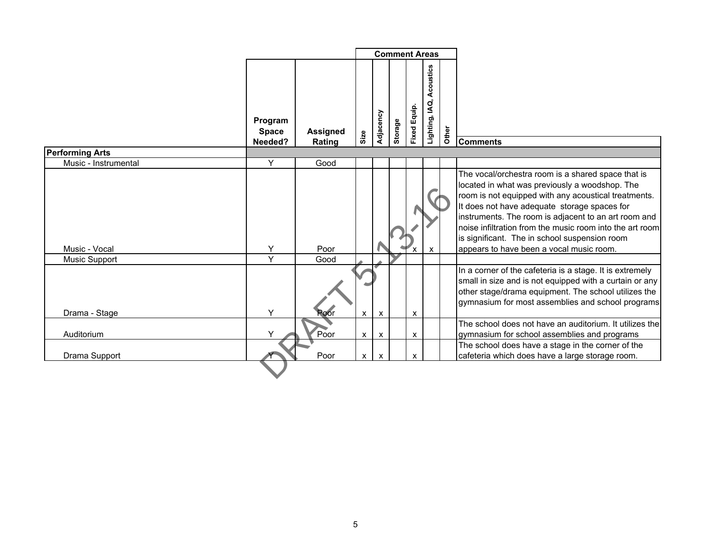|                        |                                    |                           | <b>Comment Areas</b>      |                           |         |                 |                             |       |                                                                                                                                                                                                                                                                                                                                                                                                                               |
|------------------------|------------------------------------|---------------------------|---------------------------|---------------------------|---------|-----------------|-----------------------------|-------|-------------------------------------------------------------------------------------------------------------------------------------------------------------------------------------------------------------------------------------------------------------------------------------------------------------------------------------------------------------------------------------------------------------------------------|
|                        | Program<br><b>Space</b><br>Needed? | <b>Assigned</b><br>Rating | Size                      | Adjacency                 | Storage | Equip.<br>Fixed | Acoustics<br>Lighting, IAQ, | Other | <b>Comments</b>                                                                                                                                                                                                                                                                                                                                                                                                               |
| <b>Performing Arts</b> |                                    |                           |                           |                           |         |                 |                             |       |                                                                                                                                                                                                                                                                                                                                                                                                                               |
| Music - Instrumental   | Y                                  | Good                      |                           |                           |         |                 |                             |       |                                                                                                                                                                                                                                                                                                                                                                                                                               |
| Music - Vocal          | Y<br>Y                             | Poor                      |                           |                           |         |                 | X                           |       | The vocal/orchestra room is a shared space that is<br>located in what was previously a woodshop. The<br>room is not equipped with any acoustical treatments.<br>It does not have adequate storage spaces for<br>instruments. The room is adjacent to an art room and<br>noise infiltration from the music room into the art room<br>is significant. The in school suspension room<br>appears to have been a vocal music room. |
| <b>Music Support</b>   |                                    | Good                      |                           |                           |         |                 |                             |       |                                                                                                                                                                                                                                                                                                                                                                                                                               |
| Drama - Stage          | Y                                  | Poor                      | $\boldsymbol{\mathsf{x}}$ | $\boldsymbol{\mathsf{x}}$ |         | X               |                             |       | In a corner of the cafeteria is a stage. It is extremely<br>small in size and is not equipped with a curtain or any<br>other stage/drama equipment. The school utilizes the<br>gymnasium for most assemblies and school programs                                                                                                                                                                                              |
|                        |                                    |                           |                           |                           |         |                 |                             |       | The school does not have an auditorium. It utilizes the                                                                                                                                                                                                                                                                                                                                                                       |
| Auditorium             |                                    | Poor                      | X                         | $\boldsymbol{\mathsf{x}}$ |         | X               |                             |       | gymnasium for school assemblies and programs                                                                                                                                                                                                                                                                                                                                                                                  |
| Drama Support          |                                    | Poor                      | x <sub>1</sub>            | $\boldsymbol{\mathsf{x}}$ |         | X               |                             |       | The school does have a stage in the corner of the<br>cafeteria which does have a large storage room.                                                                                                                                                                                                                                                                                                                          |
|                        |                                    |                           |                           |                           |         |                 |                             |       |                                                                                                                                                                                                                                                                                                                                                                                                                               |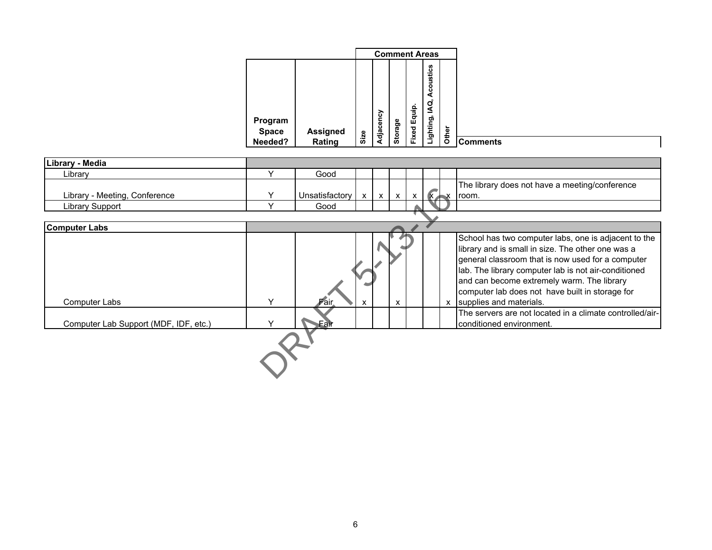|              |                 |      |           | <b>Comment Areas</b> |        |           |       |
|--------------|-----------------|------|-----------|----------------------|--------|-----------|-------|
|              |                 |      |           |                      |        | coustics  |       |
|              |                 |      |           |                      |        | ⋖         |       |
| Program      |                 |      | Adjacency |                      | Equip. | ΙAΩ,      |       |
| <b>Space</b> | <b>Assigned</b> |      |           | Storage              | Fixed  | Lighting, | Other |
| Needed?      | Rating          | Size |           |                      |        |           |       |

| Library - Media                       |              |                |              |                 |              |              |                                                                                                                                                                                                                                                                                                                                                      |
|---------------------------------------|--------------|----------------|--------------|-----------------|--------------|--------------|------------------------------------------------------------------------------------------------------------------------------------------------------------------------------------------------------------------------------------------------------------------------------------------------------------------------------------------------------|
| Library                               | $\checkmark$ | Good           |              |                 |              |              |                                                                                                                                                                                                                                                                                                                                                      |
|                                       |              |                |              |                 |              |              | The library does not have a meeting/conference                                                                                                                                                                                                                                                                                                       |
| Library - Meeting, Conference         |              | Unsatisfactory | $\mathsf{x}$ | $x \mid x \mid$ | $\mathsf{X}$ | $\mathbf{X}$ | $\mathsf{x}$ room.                                                                                                                                                                                                                                                                                                                                   |
| Library Support                       |              | Good           |              |                 |              |              |                                                                                                                                                                                                                                                                                                                                                      |
|                                       |              |                |              |                 |              |              |                                                                                                                                                                                                                                                                                                                                                      |
| <b>Computer Labs</b>                  |              |                |              |                 |              |              |                                                                                                                                                                                                                                                                                                                                                      |
| Computer Labs                         | $\checkmark$ |                | X            | $\mathsf{x}$    |              |              | School has two computer labs, one is adjacent to the<br>library and is small in size. The other one was a<br>general classroom that is now used for a computer<br>lab. The library computer lab is not air-conditioned<br>and can become extremely warm. The library<br>computer lab does not have built in storage for<br>x supplies and materials. |
| Computer Lab Support (MDF, IDF, etc.) |              | Eair           |              |                 |              |              | The servers are not located in a climate controlled/air-<br>conditioned environment.                                                                                                                                                                                                                                                                 |
|                                       |              |                |              |                 |              |              |                                                                                                                                                                                                                                                                                                                                                      |